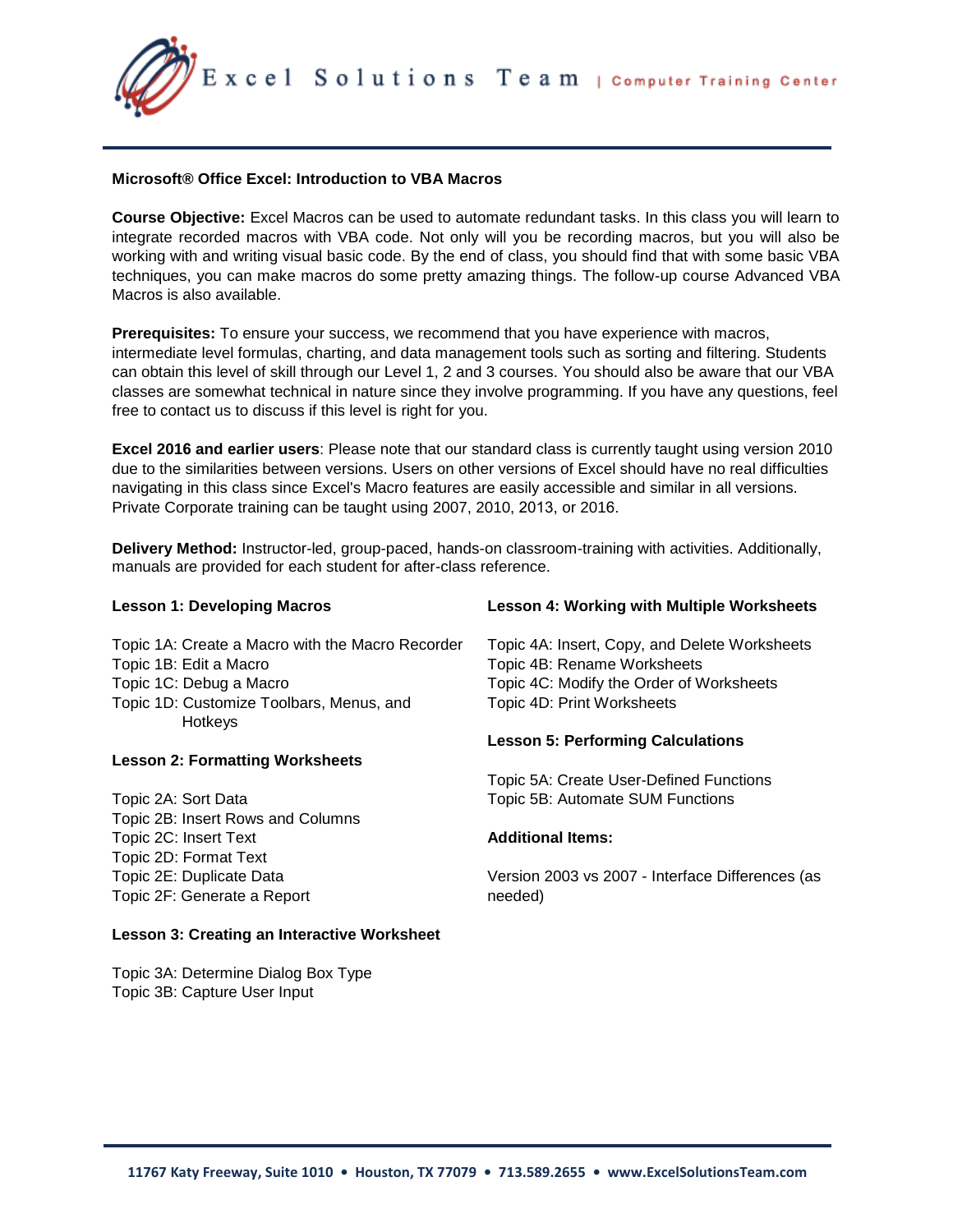Excel Solutions Team | Computer Training Center

## **Microsoft® Office Excel: Introduction to VBA Macros**

**Course Objective:** Excel Macros can be used to automate redundant tasks. In this class you will learn to integrate recorded macros with VBA code. Not only will you be recording macros, but you will also be working with and writing visual basic code. By the end of class, you should find that with some basic VBA techniques, you can make macros do some pretty amazing things. The follow-up course Advanced VBA Macros is also available.

**Prerequisites:** To ensure your success, we recommend that you have experience with macros, intermediate level formulas, charting, and data management tools such as sorting and filtering. Students can obtain this level of skill through our Level 1, 2 and 3 courses. You should also be aware that our VBA classes are somewhat technical in nature since they involve programming. If you have any questions, feel free to contact us to discuss if this level is right for you.

**Excel 2016 and earlier users**: Please note that our standard class is currently taught using version 2010 due to the similarities between versions. Users on other versions of Excel should have no real difficulties navigating in this class since Excel's Macro features are easily accessible and similar in all versions. Private Corporate training can be taught using 2007, 2010, 2013, or 2016.

**Delivery Method:** Instructor-led, group-paced, hands-on classroom-training with activities. Additionally, manuals are provided for each student for after-class reference.

**Lesson 4: Working with Multiple Worksheets** 

| Lesson i: Developing Macros                      | Lesson 4: Working with Multiple Worksheets       |
|--------------------------------------------------|--------------------------------------------------|
| Topic 1A: Create a Macro with the Macro Recorder | Topic 4A: Insert, Copy, and Delete Worksheets    |
| Topic 1B: Edit a Macro                           | Topic 4B: Rename Worksheets                      |
| Topic 1C: Debug a Macro                          | Topic 4C: Modify the Order of Worksheets         |
| Topic 1D: Customize Toolbars, Menus, and         | Topic 4D: Print Worksheets                       |
| Hotkeys                                          |                                                  |
|                                                  | <b>Lesson 5: Performing Calculations</b>         |
| <b>Lesson 2: Formatting Worksheets</b>           |                                                  |
|                                                  | Topic 5A: Create User-Defined Functions          |
| Topic 2A: Sort Data                              | Topic 5B: Automate SUM Functions                 |
| Topic 2B: Insert Rows and Columns                |                                                  |
| Topic 2C: Insert Text                            | <b>Additional Items:</b>                         |
| Topic 2D: Format Text                            |                                                  |
| Topic 2E: Duplicate Data                         | Version 2003 vs 2007 - Interface Differences (as |
| Topic 2F: Generate a Report                      | needed)                                          |
|                                                  |                                                  |

## **Lesson 3: Creating an Interactive Worksheet**

Topic 3A: Determine Dialog Box Type Topic 3B: Capture User Input

**Lesson 1: Developing Macros**